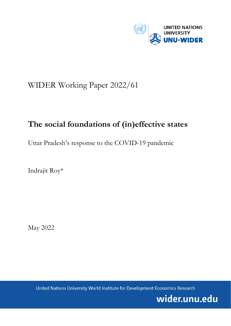

# WIDER Working Paper 2022/61

# **The social foundations of (in)effective states**

Uttar Pradesh's response to the COVID-19 pandemic

Indrajit Roy\*

May 2022

United Nations University World Institute for Development Economics Research

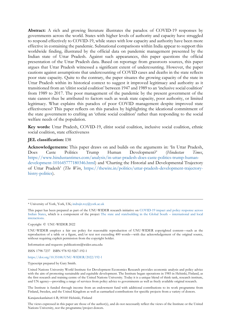**Abstract:** A rich and growing literature illustrates the paradox of COVID-19 responses by governments across the world. States with higher levels of authority and capacity have struggled to respond effectively to COVID-19, while states with low capacity and authority have been more effective in containing the pandemic. Subnational comparisons within India appear to support this worldwide finding, illustrated by the official data on pandemic management presented by the Indian state of Uttar Pradesh. Against such appearances, this paper questions the official presentation of the Uttar Pradesh data. Based on reportage from grassroots sources, this paper argues that Uttar Pradesh witnessed a significant extent of undercounting. However, the paper cautions against assumptions that undercounting of COVID cases and deaths in the state reflects poor state capacity. Quite to the contrary, the paper situates the growing capacity of the state in Uttar Pradesh within its historical context to suggest it improved legitimacy and authority as it transitioned from an 'elitist social coalition' between 1947 and 1989 to an 'inclusive social coalition' from 1989 to 2017. The poor management of the pandemic by the present government of the state cannot thus be attributed to factors such as weak state capacity, poor authority, or limited legitimacy. What explains this paradox of poor COVID management despite improved state effectiveness? This paper reflects on this paradox by highlighting the ideational commitment of the state government to crafting an 'ethnic social coalition' rather than responding to the social welfare needs of the population.

**Key words:** Uttar Pradesh, COVID-19, elitist social coalition, inclusive social coalition, ethnic social coalition, state effectiveness

#### **JEL classification:** I38

**Acknowledgements:** This paper draws on and builds on the arguments in: 'In Uttar Pradesh, Does Caste Politics Trump Human Development?' (*Hindustan Times*, [https://www.hindustantimes.com/analysis/in-uttar-pradesh-does-caste-politics-trump-human](https://www.hindustantimes.com/analysis/in-uttar-pradesh-does-caste-politics-trump-human-development-101645777180346.html)[development-101645777180346.html\)](https://www.hindustantimes.com/analysis/in-uttar-pradesh-does-caste-politics-trump-human-development-101645777180346.html) and 'Charting the Historial and Developmental Trajectory of Uttar Pradesh' (*The Wire*, [https://thewire.in/politics/uttar-pradesh-development-trajectory](https://thewire.in/politics/uttar-pradesh-development-trajectory-histry-politics)[histry-politics\)](https://thewire.in/politics/uttar-pradesh-development-trajectory-histry-politics).

Copyright © UNU-WIDER 2022

Information and requests: publications@wider.unu.edu

ISSN 1798-7237 ISBN 978-92-9267-192-1

#### <https://doi.org/10.35188/UNU-WIDER/2022/192-1>

Typescript prepared by Gary Smith.

United Nations University World Institute for Development Economics Research provides economic analysis and policy advice with the aim of promoting sustainable and equitable development. The Institute began operations in 1985 in Helsinki, Finland, as the first research and training centre of the United Nations University. Today it is a unique blend of think tank, research institute, and UN agency—providing a range of services from policy advice to governments as well as freely available original research.

The Institute is funded through income from an endowment fund with additional contributions to its work programme from Finland, Sweden, and the United Kingdom as well as earmarked contributions for specific projects from a variety of donors.

Katajanokanlaituri 6 B, 00160 Helsinki, Finland

The views expressed in this paper are those of the author(s), and do not necessarily reflect the views of the Institute or the United Nations University, nor the programme/project donors.

<sup>\*</sup> University of York, York, UK; [indrajit.roy@york.ac.uk](mailto:indrajit.roy@york.ac.uk)

This paper has been prepared as part of the UNU-WIDER research initiative on [COVID-19 impact and policy response across](https://www.wider.unu.edu/node/239529)  [Indian States,](https://www.wider.unu.edu/node/239529) which is a component of the project [The state and statebuilding in the Global South –](https://www.wider.unu.edu/node/237413) international and local [interactions.](https://www.wider.unu.edu/node/237413)

UNU-WIDER employs a fair use policy for reasonable reproduction of UNU-WIDER copyrighted content—such as the reproduction of a table or a figure, and/or text not exceeding 400 words—with due acknowledgement of the original source, without requiring explicit permission from the copyright holder.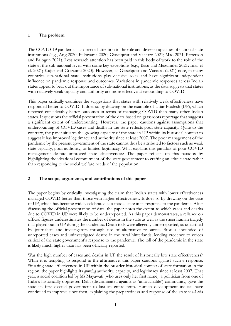# **1 The problem**

The COVID-19 pandemic has directed attention to the role and diverse capacities of national state institutions (e.g., Ang 2020; Fukuyama 2020; Gisselquist and Vaccaro 2021; Mao 2021; Patterson and Balogun 2021). Less research attention has been paid in this body of work to the role of the state at the sub-national level, with some key exceptions (e.g., Basu and Mazumder 2021; Imai et al. 2021; Kujur and Goswami 2020). However, as Gisselquist and Vaccaro (2021) note, in many countries sub-national state institutions play decisive roles and have significant independent influence on pandemic response and outcomes. Variations in pandemic responses across Indian states appear to bear out the importance of sub-national institutions, as the data suggests that states with relatively weak capacity and authority are more effective at responding to COVID.

This paper critically examines the suggestions that states with relatively weak effectiveness have responded better to COVID. It does so by drawing on the example of Uttar Pradesh (UP), which reported considerably better outcomes in terms of managing COVID than many other Indian states. It questions the official presentation of the data based on grassroots reportage that suggests a significant extent of undercounting. However, the paper cautions against assumptions that undercounting of COVID cases and deaths in the state reflects poor state capacity. Quite to the contrary, the paper situates the growing capacity of the state in UP within its historical context to suggest it has improved legitimacy and authority since at least 2007. The poor management of the pandemic by the present government of the state cannot thus be attributed to factors such as weak state capacity, poor authority, or limited legitimacy. What explains this paradox of poor COVID management despite improved state effectiveness? The paper reflects on this paradox by highlighting the ideational commitment of the state government to crafting an ethnic state rather than responding to the social welfare needs of the population.

## **2 The scope, arguments, and contributions of this paper**

The paper begins by critically investigating the claim that Indian states with lower effectiveness managed COVID better than those with higher effectiveness. It does so by drawing on the case of UP, which has become widely celebrated as a model state in its response to the pandemic. After discussing the official presentation of data, the paper notes the extent to which cases and deaths due to COVID in UP were likely to be underreported. As this paper demonstrates, a reliance on official figures underestimates the number of deaths in the state as well as the sheer human tragedy that played out in UP during the pandemic. Death tolls were allegedly underreported, as unearthed by journalists and investigators through use of alternative resources. Stories abounded of unreported cases and uninvestigated deaths in the rural hinterlands, lending credence to voices critical of the state government's response to the pandemic. The toll of the pandemic in the state is likely much higher than has been officially reported.

Was the high number of cases and deaths in UP the result of historically low state effectiveness? While it is tempting to respond in the affirmative, this paper cautions against such a response. Situating state effectiveness in UP within the broader historical context of state formation in the region, the paper highlights its *growing* authority, capacity, and legitimacy since at least 2007. That year, a social coalition led by Ms Mayawati (who uses only her first name), a politician from one of India's historically oppressed Dalit (discriminated against as 'untouchable') community, gave the state its first elected government to last an entire term. Human development indices have continued to improve since then, explaining the preparedness and response of the state vis-à-vis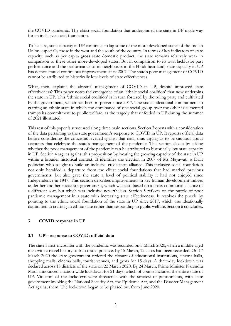the COVID pandemic. The elitist social foundation that underpinned the state in UP made way for an inclusive social foundation.

To be sure, state capacity in UP continues to lag some of the more-developed states of the Indian Union, especially those in the west and the south of the country. In terms of key indicators of state capacity, such as per capita gross state domestic product, the state remains relatively weak in comparison to these other more-developed states. But in comparison to its own lacklustre past performance and the performance of its neighbours in the Hindi heartland, state capacity in UP has demonstrated continuous improvement since 2007. The state's poor management of COVID cannot be attributed to historically low levels of state effectiveness.

What, then, explains the abysmal management of COVID in UP, despite improved state effectiveness? This paper notes the emergence of an 'ethnic social coalition' that now underpins the state in UP. This 'ethnic social coalition' is in turn fostered by the ruling party and cultivated by the government, which has been in power since 2017. The state's ideational commitment to crafting an ethnic state in which the dominance of one social group over the other is cemented trumps its commitment to public welfare, as the tragedy that unfolded in UP during the summer of 2021 illustrated.

This rest of this paper is structured along three main sections. Section 3 opens with a consideration of the data pertaining to the state government's response to COVID in UP. It reports official data before considering the criticisms levelled against that data, thus urging us to be cautious about accounts that celebrate the state's management of the pandemic. This section closes by asking whether the poor management of the pandemic can be attributed to historically low state capacity in UP. Section 4 argues against this proposition by locating the growing capacity of the state in UP within a broader historical context. It identifies the election in 2007 of Ms Mayawati, a Dalit politician who sought to build an inclusive cross-caste alliance. This inclusive social foundation not only heralded a departure from the elitist social foundations that had marked previous governments, but also gave the state a level of political stability it had not enjoyed since Independence in 1947. This section describes improvements in key human development indices under her and her successor government, which was also based on a cross-communal alliance of a different sort, but which was inclusive nevertheless. Section 5 reflects on the puzzle of poor pandemic management in a state with increasing state effectiveness. It resolves the puzzle by pointing to the ethnic social foundation of the state in UP since 2017, which was ideationally committed to crafting an ethnic state rather than responding to public welfare. Section 6 concludes.

# **3 COVID response in UP**

## **3.1 UP's response to COVID: official data**

The state's first encounter with the pandemic was recorded on 5 March 2020, when a middle-aged man with a travel history to Iran tested positive. By 15 March, 12 cases had been recorded. On 17 March 2020 the state government ordered the closure of educational institutions, cinema halls, shopping malls, cinema halls, tourist venues, and gyms for 15 days. A three-day lockdown was declared across 15 districts of the state on 22 March 2020. By 24 March, Prime Minister Narendra Modi announced a nation-wide lockdown for 21 days, which of course included the entire state of UP. Violators of the lockdown were threatened with the strictest of punishments, with state government invoking the National Security Act, the Epidemic Act, and the Disaster Management Act against them. The lockdown began to be phased out from June 2020.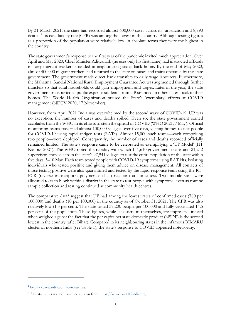By 31 March 2021, the state had recorded almost 600,000 cases across its jurisdiction and 8,790 deaths. [1](#page-4-0) Its case fatality rate (CFR) was among the lowest in the country. Although testing figures as a proportion of the population were relatively low, in absolute terms they were the highest in the country.

The state government's response to the first year of the pandemic invited much appreciation. Over April and May 2020, Chief Minister Adityanath (he uses only his first name) had instructed officials to ferry migrant workers stranded in neighbouring states back home. By the end of May 2020, almost 400,000 migrant workers had returned to the state on buses and trains operated by the state government. The government made direct bank transfers to daily wage labourers. Furthermore, the Mahatma Gandhi National Rural Employment Guarantee Act was augmented through further transfers so that rural households could gain employment and wages. Later in the year, the state government transported at public expense students from UP stranded in other states, back to their homes. The World Health Organization praised the State's 'exemplary' efforts at COVID management (NDTV 2020, 17 November).

However, from April 2021 India was overwhelmed by the second wave of COVID-19. UP was no exception: the number of cases and deaths spiked. Even so, the state government earned accolades from the WHO in its efforts to stem the spread of COVID (WHO 2021, 7 May ). Official monitoring teams traversed almost 100,000 villages over five days, visiting homes to test people for COVID-19 using rapid antigen tests (RATs). Almost 15,000 such teams—each comprising two people—were deployed. Consequently, the number of cases and deaths recorded officially remained limited. The state's response came to be celebrated as exemplifying a 'UP Model' (IIT Kanpur 2021). The WHO noted the rapidity with which 141,610 government teams and 21,242 supervisors moved across the state's 97,941 villages to test the entire population of the state within five days, 5–10 May. Each team tested people with COVID-19 symptoms using RAT kits, isolating individuals who tested positive and giving them advice on disease management. All contacts of those testing positive were also quarantined and tested by the rapid response team using the RT-PCR (reverse transcription polymerase chain reaction) at home test. Two mobile vans were allocated to each block within a district in the state to test people with symptoms, even as routine sample collection and testing continued at community health centres.

The comparative data<sup>[2](#page-4-1)</sup> suggest that UP had among the lowest rates of confirmed cases (760 per 100,000) and deaths (10 per 100,000) in the country as of October 31, 2021. The CFR was also relatively low (1.3 per cent). The state tested 37,200 people per 100,000 and fully vaccinated 14.5 per cent of the population. These figures, while lacklustre in themselves, are impressive indeed when weighed against the fact that the per capita net state domestic product (NSDP) is the second lowest in the country (after Bihar). Compared to its neighbouring states in the infamous BIMARU cluster of northern India (see Table 1), the state's response to COVID appeared noteworthy.

<span id="page-4-0"></span><sup>1</sup> [https://www.ndtv.com/coronavirus.](https://www.ndtv.com/coronavirus)

<span id="page-4-1"></span><sup>2</sup> All data in this section have been drawn fro[m https://www.covid19india.org.](https://www.covid19india.org/)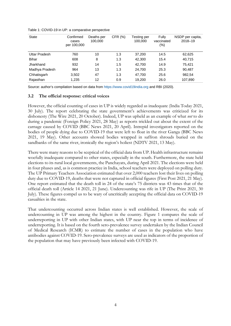Table 1: COVID-19 in UP: a comparative perspective

| <b>State</b>   | Confirmed<br>cases<br>per 100,000 | Deaths per<br>100.000 | CFR (%) | Testing per<br>100,000 | Fully<br>vaccinated<br>(%) | NSDP per capita,<br>2018-19 |
|----------------|-----------------------------------|-----------------------|---------|------------------------|----------------------------|-----------------------------|
| Uttar Pradesh  | 760                               | 10                    | 1.3     | 37,200                 | 14.5                       | 62,625                      |
| Bihar          | 608                               | 8                     | 1.3     | 42,300                 | 15.4                       | 40,715                      |
| Jharkhand      | 932                               | 14                    | 1.5     | 42,700                 | 14.9                       | 75,421                      |
| Madhya Pradesh | 964                               | 13                    | 1.3     | 24,700                 | 25.3                       | 90,487                      |
| Chhatisgarh    | 3,502                             | 47                    | 1.3     | 47,700                 | 25.6                       | 982,54                      |
| Rajasthan      | 1,235                             | 12                    | 0.9     | 19,200                 | 26.0                       | 107,890                     |

Source: author's compilation based on data from [https://www.covid19india.org](https://www.covid19india.org/) and RBI (2020).

#### **3.2 The official response: critical voices**

However, the official counting of cases in UP is widely regarded as inadequate (India Today 2021, 30 July). The report celebrating the state government's achievements was criticized for its dishonesty (The Wire 2021, 20 October). Indeed, UP was upheld as an example of what *not* to do during a pandemic (Foreign Policy 2021, 28 May) as reports trickled out about the extent of the carnage caused by COVID (BBC News 2021, 20 April). Intrepid investigators reported on the bodies of people dying due to COVID-19 that were left to float in the river Ganga (BBC News 2021, 19 May). Other accounts showed bodies wrapped in saffron shrouds buried on the sandbanks of the same river, ironically the region's holiest (NDTV 2021, 13 May).

There were many reasons to be sceptical of the official data from UP. Health infrastructure remains woefully inadequate compared to other states, especially in the south. Furthermore, the state held elections to its rural local governments, the Panchayats, during April 2021. The elections were held in four phases and, as is common practice in India, school teachers were deployed on polling duty. The UP Primary Teachers Association estimated that over 2,000 teachers lost their lives on polling duty due to COVID-19, deaths that were not captured in official figures (First Post 2021, 21 May). One report estimated that the death toll in 24 of the state's 75 districts was 43 times that of the official death toll (Article 14 2021, 21 June). Undercounting was rife in UP (The Print 2021, 30 July). These figures compel us to be wary of uncritically accepting the official data on COVID-19 casualties in the state.

That undercounting occurred across Indian states is well established. However, the scale of undercounting in UP was among the highest in the country. Figure 1 compares the scale of underreporting in UP with other Indian states, with UP near the top in terms of incidence of underreporting. It is based on the fourth sero-prevalence survey undertaken by the Indian Council of Medical Research (ICMR) to estimate the number of cases in the population who have antibodies against COVID-19. Sero-prevalence surveys are used as indicators of the proportion of the population that may have previously been infected with COVID-19.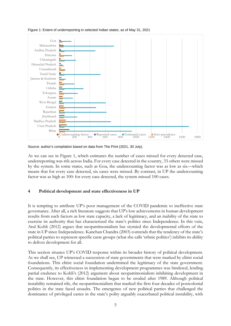

Figure 1: Extent of underreporting in selected Indian states, as of May 31, 2021

Source: author's compilation based on data from The Print (2021, 30 July).

As we can see in Figure 1, which estimates the number of cases missed for every detected case, underreporting was rife across India. For every case detected in the country, 33 others were missed by the system. In some states, such as Goa, the undercounting factor was as low as six—which means that for every case detected, six cases were missed. By contrast, in UP the undercounting factor was as high as 100: for every case detected, the system missed 100 cases.

## **4 Political development and state effectiveness in UP**

It is tempting to attribute UP's poor management of the COVID pandemic to ineffective state governance. After all, a rich literature suggests that UP's low achievements in human development results from such factors as low state capacity, a lack of legitimacy, and an inability of the state to exercise its authority that has characterized the state's politics since Independence. In this vein, Atul Kohli (2012) argues that neopatrimonialism has stymied the developmental efforts of the state in UP since Independence. Kanchan Chandra (2003) contends that the tendency of the state's political parties to represent specific caste groups (what she calls 'ethnic politics') inhibits its ability to deliver development for all.

This section situates UP's COVID response within its broader history of political development. As we shall see, UP witnessed a succession of state governments that were marked by elitist social foundations. This elitist social foundation undermined the legitimacy of the state government. Consequently, its effectiveness in implementing development programmes was hindered, lending partial credence to Kohli's (2012) argument about neopatrimonialism inhibiting development in the state. However, this elitist foundation began to be eroded after 1989. Although political instability remained rife, the neopatrimonialism that marked the first four decades of postcolonial politics in the state faced assaults. The emergence of new political parties that challenged the dominance of privileged castes in the state's polity arguably exacerbated political instability, with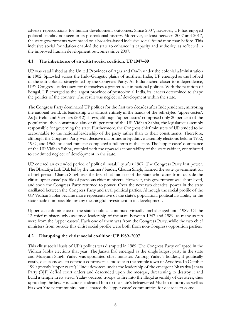adverse repercussions for human development outcomes. Since 2007, however, UP has enjoyed political stability not seen in its postcolonial history. Moreover, at least between 2007 and 2017, the state governments were based on a broader-based inclusive social foundation than before. This inclusive social foundation enabled the state to enhance its capacity and authority, as reflected in the improved human development outcomes since 2007.

# **4.1 The inheritance of an elitist social coalition: UP 1947–89**

UP was established as the United Provinces of Agra and Oudh under the colonial administration in 1902. Sprawled across the Indo-Gangetic plains of northern India, UP emerged as the hotbed of the anti-colonial struggle led by the Congress Party. As India inched closer to independence, UP's Congress leaders saw for themselves a greater role in national politics. With the partition of Bengal, UP emerged as the largest province of postcolonial India, its leaders determined to shape the politics of the country. The result was neglect of development within the state.

The Congress Party dominated UP politics for the first two decades after Independence, mirroring the national trend. Its leadership was almost entirely in the hands of the self-styled 'upper castes'. As Jaffrelot and Verniers (2012) shows, although 'upper castes' comprised only 20 per cent of the population, they constituted almost 60 per cent of the UP Vidhan Sabha, the legislative assembly responsible for governing the state. Furthermore, the Congress chief ministers of UP tended to be accountable to the national leadership of the party rather than to their constituents. Therefore, although the Congress Party won decisive majorities in legislative assembly elections held in 1952, 1957, and 1962, no chief minister completed a full term in the state. The 'upper caste' dominance of the UP Vidhan Sabha, coupled with the upward accountability of the state cabinet, contributed to continued neglect of development in the state.

UP entered an extended period of political instability after 1967. The Congress Party lost power. The Bharatiya Lok Dal, led by the farmers' leader, Charan Singh, formed the state government for a brief period. Charan Singh was the first chief minister of the State who came from outside the elitist 'upper caste' profile of previous chief ministers. However, this government was short-lived, and soon the Congress Party returned to power. Over the next two decades, power in the state oscillated between the Congress Party and rival political parties. Although the social profile of the UP Vidhan Sabha became more representative of the state's population, political instability in the state made it impossible for any meaningful investment in its development.

Upper caste dominance of the state's politics continued virtually unchallenged until 1989. Of the 12 chief ministers who assumed leadership of the state between 1947 and 1989, as many as ten were from the 'upper castes'. Each one of them was from the Congress Party, while the two chief ministers from outside this elitist social profile were both from non-Congress opposition parties.

# **4.2 Disrupting the elitist social coalition: UP 1989–2007**

This elitist social basis of UP's politics was disrupted in 1989. The Congress Party collapsed in the Vidhan Sabha elections that year. The Janata Dal emerged as the single largest party in the state and Mulayam Singh Yadav was appointed chief minister. Among Yadav's boldest, if politically costly, decisions was to defend a controversial mosque in the temple town of Ayodhya. In October 1990 (mostly 'upper caste') Hindu devotees under the leadership of the emergent Bharatiya Janata Party (BJP) defied court orders and descended upon the mosque, threatening to destroy it and build a temple in its stead. Yadav ordered troops to fire into the illegal assembly of devotees, thus upholding the law. His actions endeared him to the state's beleaguered Muslim minority as well as his own Yadav community, but alienated the 'upper caste' communities for decades to come.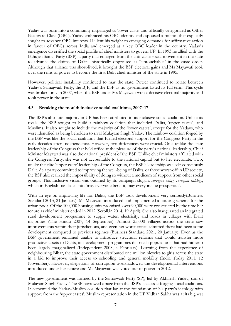Yadav was born into a community disparaged as 'lower caste' and officially categorized as Other Backward Class (OBC). Yadav embraced his OBC identity and espoused a politics that explicitly sought to advance OBC interests. He lent his weight to emerging demands for affirmative action in favour of OBCs across India and emerged as a key OBC leader in the country. Yadav's emergence diversified the social profile of chief ministers to govern UP. In 1993 he allied with the Bahujan Samaj Party (BSP), a party that emerged from the anti-caste social movement in the state to advance the claims of Dalits, historically oppressed as "untouchable" in the caste order. Although that alliance was short-lived, it brought the BSP electoral gains and Ms Mayawati took over the reins of power to become the first Dalit chief minister of the state in 1995.

However, political instability continued to mar the state. Power continued to rotate between Yadav's Samajwadi Party, the BJP, and the BSP as no government lasted its full term. This cycle was broken only in 2007, when the BSP under Ms Mayawati won a decisive electoral majority and took power in the state.

## **4.3 Breaking the mould: inclusive social coalitions, 2007–17**

The BSP's absolute majority in UP has been attributed to its inclusive social coalition. Unlike its rivals, the BSP sought to build a rainbow coalition that included Dalits, 'upper castes', and Muslims. It also sought to include the majority of the 'lower castes', except for the Yadavs, who were identified as being beholden to rival Mulayam Singh Yadav. The rainbow coalition forged by the BSP was like the social coalitions that fuelled electoral support for the Congress Party in the early decades after Independence. However, two differences were crucial. One, unlike the state leadership of the Congress that held office at the pleasure of the party's national leadership, Chief Minister Mayawati was also the national president of the BSP. Unlike chief ministers affiliated with the Congress Party, she was not accountable to the national capital but to her electorate. Two, unlike the elite 'upper caste' leadership of the Congress, the BSP's leadership was self-consciously Dalit. As a party committed to improving the well-being of Dalits, or those worst-off in UP society, the BSP also realized the impossibility of doing so without a modicum of support from other social groups. This inclusive vision was outlined by its campaign slogan, *sarvajan hitay, sarvajan sukhay*, which in English translates into 'may everyone benefit, may everyone be prosperous'.

With an eye on improving life for Dalits, the BSP took development very seriously (Business Standard 2013, 21 January). Ms Mayawati introduced and implemented a housing scheme for the urban poor. Of the 100,000 housing units promised, over 90,000 were constructed by the time her tenure as chief minister ended in 2012 (Scroll.in 2014, 19 April). She also inaugurated an integrated rural development programme to supply water, electricity, and roads in villages with Dalit majorities (The Hindu 2007, 14 September). Almost 25,000 villages across the state saw improvements within their jurisdictions, and even her worst critics admitted there had been some development compared to previous regimes (Business Standard 2021, 20 January). Even as the BSP government remained unable to introduce structural reforms that would transfer more productive assets to Dalits, its development programmes did reach populations that had hitherto been largely marginalized (Independent 2008, 4 February). Learning from the experience of neighbouring Bihar, the state government distributed one million bicycles to girls across the state in a bid to improve their access to schooling and general mobility (India Today 2011, 12 November). However, allegations of corruption overshadowed the developmental interventions introduced under her tenure and Ms Mayawati was voted out of power in 2012.

The new government was formed by the Samajwadi Party (SP), led by Akhilesh Yadav, son of Mulayam Singh Yadav. The SP borrowed a page from the BSP's success at forging social coalitions. It cemented the Yadav–Muslim coalition that lay at the foundation of his party's ideology with support from the 'upper castes'. Muslim representation in the UP Vidhan Sabha was at its highest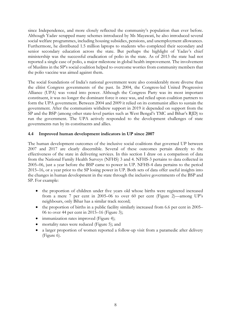since Independence, and more closely reflected the community's population than ever before. Although Yadav scrapped many schemes introduced by Ms Mayawati, he also introduced several social welfare programmes, including housing subsidies, pensions, and unemployment allowances. Furthermore, he distributed 1.5 million laptops to students who completed their secondary and senior secondary education across the state. But perhaps the highlight of Yadav's chief ministership was the successful eradication of polio in the state. As of 2013 the state had not reported a single case of polio, a major milestone in global health improvement. The involvement of Muslims in the SP's social coalition helped to overcome worries from community members that the polio vaccine was aimed against them.

The social foundations of India's national government were also considerably more diverse than the elitist Congress governments of the past. In 2004, the Congress-led United Progressive Alliance (UPA) was voted into power. Although the Congress Party was its most important constituent, it was no longer the dominant force it once was, and relied upon coalition partners to form the UPA government. Between 2004 and 2009 it relied on its communist allies to sustain the government. After the communists withdrew support in 2019 it depended on support from the SP and the BSP (among other state-level parties such as West Bengal's TMC and Bihar's RJD) to run the government. The UPA actively responded to the development challenges of state governments run by its constituents and allies.

# **4.4 Improved human development indicators in UP since 2007**

The human development outcomes of the inclusive social coalitions that governed UP between 2007 and 2017 are clearly discernible. Several of these outcomes pertain directly to the effectiveness of the state in delivering services. In this section I draw on a comparison of data from the National Family Health Surveys (NFHS) 3 and 4. NFHS-3 pertains to data collected in 2005–06, just a year before the BSP came to power in UP. NFHS-4 data pertains to the period 2015–16, or a year prior to the SP losing power in UP. Both sets of data offer useful insights into the changes in human development in the state through the inclusive governments of the BSP and SP. For example:

- the proportion of children under five years old whose births were registered increased from a mere 7 per cent in 2005–06 to over 60 per cent (Figure 2)—among UP's neighbours, only Bihar has a similar track record;
- the proportion of births in a public facility similarly increased from 6.6 per cent in 2005– 06 to over 44 per cent in 2015–16 (Figure 3);
- immunization rates improved (Figure 4);
- mortality rates were reduced (Figure 5); and
- a larger proportion of women reported a follow-up visit from a paramedic after delivery (Figure 6).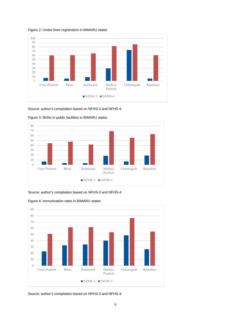

Figure 2: Under-fives registration in BIMARU states

Source: author's compilation based on NFHS-3 and NFHS-4.



Figure 3: Births in public facilities in BIMARU states

Source: author's compilation based on NFHS-3 and NFHS-4.



Figure 4: Immunization rates in BIMARU states

Source: author's compilation based on NFHS-3 and NFHS-4.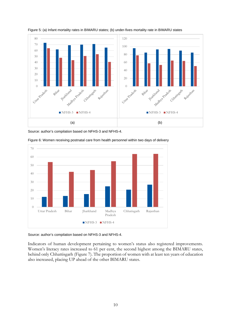



Source: author's compilation based on NFHS-3 and NFHS-4.



Figure 6: Women receiving postnatal care from health personnel within two days of delivery

Source: author's compilation based on NFHS-3 and NFHS-4.

Indicators of human development pertaining to women's status also registered improvements. Women's literacy rates increased to 61 per cent, the second highest among the BIMARU states, behind only Chhattisgarh (Figure 7). The proportion of women with at least ten years of education also increased, placing UP ahead of the other BIMARU states.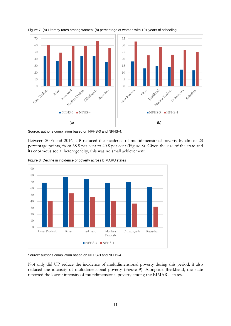

Figure 7: (a) Literacy rates among women; (b) percentage of women with 10+ years of schooling

Source: author's compilation based on NFHS-3 and NFHS-4.

Between 2005 and 2016, UP reduced the incidence of multidimensional poverty by almost 28 percentage points, from 68.8 per cent to 40.8 per cent (Figure 8). Given the size of the state and its enormous social heterogeneity, this was no small achievement.



Figure 8: Decline in incidence of poverty across BIMARU states

Source: author's compilation based on NFHS-3 and NFHS-4.

Not only did UP reduce the incidence of multidimensional poverty during this period, it also reduced the intensity of multidimensional poverty (Figure 9). Alongside Jharkhand, the state reported the lowest intensity of multidimensional poverty among the BIMARU states.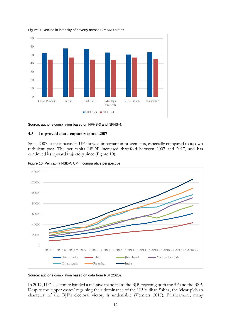

Figure 9: Decline in intensity of poverty across BIMARU states

Source: author's compilation based on NFHS-3 and NFHS-4.

#### **4.5 Improved state capacity since 2007**

Since 2007, state capacity in UP showed important improvements, especially compared to its own turbulent past. The per capita NSDP increased threefold between 2007 and 2017, and has continued its upward trajectory since (Figure 10).



Figure 10: Per capita NSDP: UP in comparative perspective

Source: author's compilation based on data from RBI (2020).

In 2017, UP's electorate handed a massive mandate to the BJP, rejecting both the SP and the BSP. Despite the 'upper castes' regaining their dominance of the UP Vidhan Sabha, the 'clear plebian character' of the BJP's electoral victory is undeniable (Verniers 2017). Furthermore, many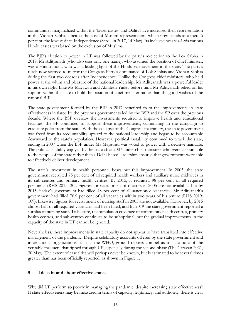communities marginalized within the 'lower castes' and Dalits have increased their representation in the Vidhan Sabha, albeit at the cost of Muslim representation, which now stands at a mere 6 per cent, the lowest since Independence (Scroll.in 2017, 14 May). Its inclusiveness vis-à-vis various Hindu castes was based on the exclusion of Muslims.

The BJP's election to power in UP was followed by the party's re-election to the Lok Sabha in 2019. Mr Adityanath (who also uses only one name), who assumed the position of chief minister, was a Hindu monk who was a leading light of the Hindutva movement in the state. The party's reach now seemed to mirror the Congress Party's dominance of Lok Sabhas and Vidhan Sabhas during the first two decades after Independence. Unlike the Congress chief ministers, who held power at the whim and pleasure of the national leadership, Mr Adityanath was a powerful leader in his own right. Like Ms Mayawati and Akhilesh Yadav before him, Mr Adityanath relied on his support within the state to hold the position of chief minister rather than the good wishes of the national BJP.

The state government formed by the BJP in 2017 benefited from the improvements in state effectiveness initiated by the previous governments led by the BSP and the SP over the previous decade. Where the BSP oversaw the investments required to improve health and educational facilities, the SP continued to support these improvements, culminating in the campaign to eradicate polio from the state. With the collapse of the Congress machinery, the state government was freed from its accountability upward to the national leadership and began to be accountable downward to the state's population. However, political instability continued to wrack the state, ending in 2007 when the BSP under Ms Mayawati was voted to power with a decisive mandate. The political stability enjoyed by the state after 2007 under chief ministers who were accountable to the people of the state rather than a Delhi-based leadership ensured that governments were able to effectively deliver development.

The state's investment in health personnel bears out this improvement. In 2005, the state government recruited 75 per cent of all required health workers and auxiliary nurse midwives in its sub-centres and primary health centres. By 2015, it recruited 98 per cent of all required personnel (RHS 2015: 30). Figures for recruitment of doctors in 2005 are not available, but by 2015 Yadav's government had filled 48 per cent of all sanctioned vacancies. Mr Adityanath's government had filled 70.9 per cent of all vacancies within two years of his tenure (RHS 2019: 109). Likewise, figures for recruitment of nursing staff in 2005 are not available. However, by 2015 almost half of all required vacancies had been filled, and by 2019 the state government reported a surplus of nursing staff. To be sure, the population coverage of community health centres, primary health centres, and sub-centres continues to be suboptimal, but the gradual improvements in the capacity of the state in UP cannot be ignored.

Nevertheless, these improvements in state capacity do not appear to have translated into effective management of the pandemic. Despite celebratory accounts offered by the state government and international organizations such as the WHO, ground reports compel us to take note of the veritable massacre that ripped through UP, especially during the second phase (The Caravan 2021, 30 May). The extent of casualties will perhaps never be known, but is estimated to be several times greater than has been officially reported, as shown in Figure 1.

## **5 Ideas in and about effective states**

Why did UP perform so poorly in managing the pandemic, despite increasing state effectiveness? If state effectiveness may be measured in terms of capacity, legitimacy, and authority, there is clear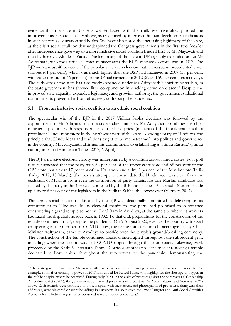evidence that the state in UP was well-endowed with them all. We have already noted the improvements in state capacity above, as evidenced by improved human development indicators in such sectors as education and health. We have also noted the increasing legitimacy of the state, as the elitist social coalition that underpinned the Congress governments in the first two decades after Independence gave way to a more inclusive social coalition headed first by Ms Mayawati and then by her rival Akhilesh Yadav. The legitimacy of the state in UP arguably expanded under Mr Adityanath, who took office as chief minister after the BJP's massive electoral win in 2017. The BJP won almost 40 per cent of the popular vote at an election that witnessed unprecedented voter turnout (61 per cent), which was much higher than the BSP had managed in 2007 (30 per cent, with voter turnout of 46 per cent) or the SP had garnered in 2012 (29 and 59 per cent, respectively). The authority of the state has also vastly expanded under Mr Adityanath's chief ministership, as the state government has showed little compunction in cracking down on dissent. [3](#page-15-0) Despite the improved state capacity, expanded legitimacy, and growing authority, the government's ideational commitments prevented it from effectively addressing the pandemic.

#### **5.1 From an inclusive social coalition to an ethnic social coalition**

The spectacular win of the BJP in the 2017 Vidhan Sabha elections was followed by the appointment of Mr Adityanath as the state's chief minister. Mr Adityanath combines his chief ministerial position with responsibilities as the head priest (mahant) of the Gorakhnath math, a prominent Hindu monastery in the north-east part of the state. A strong votary of Hindutva, the principle that Hindu ideas and traditions ought to be mainstreamed into politics and governance in the country, Mr Adityanath affirmed his commitment to establishing a 'Hindu Rashtra' (Hindu nation) in India (Hindustan Times 2017, 6 April).

The BJP's massive electoral victory was underpinned by a coalition across Hindu castes. Post-poll results suggested that the party won 62 per cent of the upper caste vote and 58 per cent of the OBC vote, but a mere 17 per cent of the Dalit vote and a tiny 2 per cent of the Muslim vote (India Today 2017, 18 March). The party's attempt to consolidate the Hindu vote was clear from the exclusion of Muslims from even the distribution of party tickets: not one Muslim candidate was fielded by the party in the 403 seats contested by the BJP and its allies. As a result, Muslims made up a mere 6 per cent of the legislators in the Vidhan Sabha, the lowest ever (Verniers 2017).

The ethnic social coalition cultivated by the BJP was ideationally committed to delivering on its commitment to Hindutva. In its electoral manifesto, the party had promised to commence constructing a grand temple to honour Lord Ram in Ayodhya, at the same site where its workers had razed the disputed mosque back in 1992. To that end, preparations for the construction of the temple continued in UP, despite the pandemic. On 5 August 2020, even as the country witnessed an upswing in the number of COVID cases, the prime minister himself, accompanied by Chief Minister Adityanath, came to Ayodhya to preside over the temple's ground-breaking ceremony. The construction of the temple continued apace, uninterrupted throughout the subsequent year, including when the second wave of COVID ripped through the countryside. Likewise, work proceeded on the Kashi Vishwanath Temple Corridor, another project aimed at restoring a temple dedicated to Lord Shiva, throughout the two waves of the pandemic, demonstrating the

<span id="page-15-0"></span><sup>&</sup>lt;sup>3</sup> The state government under Mr Adityanath has been notorious for using political repression on dissidents. For example, soon after coming to power in 2017 it hounded Dr Kafeel Khan, who highlighted the shortage of oxygen in the public hospital where he practiced. During early 2020, in the wake of protests against the controversial Citizenship Amendment Act (CAA), the government confiscated properties of protestors. As Mahmudabad and Verniers (2021) show, 'Cash rewards were promised to those helping with their arrest, and photographs of protesters, along with their addresses, were plastered on giant hoardings in Lucknow. It also revived the 1986 Gangster and Anti-Social Activities Act to unleash India's largest state-sponsored wave of police encounters.'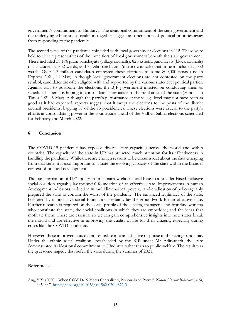government's commitment to Hindutva. The ideational commitment of the state government and the underlying ethnic social coalition together suggest an orientation of political priorities away from responding to the pandemic.

The second wave of the pandemic coincided with local government elections in UP. These were held to elect representatives of the three tiers of local government beneath the state government. These included 58,176 gram panchayats (village councils), 826 kshetra panchayats (block councils) that included 75,852 wards, and 75 zila panchayats (district councils) that in turn included 3,050 wards. Over 1.3 million candidates contested these elections to some 800,000 posts (Indian Express 2021, 11 May). Although local government elections are not contested on the party symbol, candidates are often aligned with and supported by the various state-level political parties. Against calls to postpone the elections, the BJP government insisted on conducting them as scheduled—perhaps hoping to consolidate its inroads into the rural areas of the state (Hindustan Times 2021, 5 May). Although the party's performance at the village level may not have been as good as it had expected, reports suggest that it swept the elections to the posts of the district council presidents, bagging 67 of the 75 presidencies. These elections were crucial to the party's efforts at consolidating power in the countryside ahead of the Vidhan Sabha elections scheduled for February and March 2022.

# **6 Conclusion**

The COVID-19 pandemic has exposed diverse state capacities across the world and within countries. The capacity of the state in UP has attracted much attention for its effectiveness in handling the pandemic. While there are enough reasons to be circumspect about the data emerging from that state, it is also important to situate the evolving capacity of the state within the broader context of political development.

The transformation of UP's polity from its narrow elitist social base to a broader-based inclusive social coalition arguably lay the social foundation of an effective state. Improvements in human development indicators, reduction in multidimensional poverty, and eradication of polio arguably prepared the state to contain the worst of the pandemic. The enhanced legitimacy of the state, bolstered by its inclusive social foundation, certainly lay the groundwork for an effective state. Further research is required on the social profile of the leaders, managers, and frontline workers who constitute the state; the social coalitions in which they are embedded; and the ideas that motivate them. These are essential so we can gain comprehensive insights into how states break the mould and are effective in improving the quality of life for their citizens, especially during crises like the COVID pandemic.

However, these improvements did not translate into an effective response to the raging pandemic. Under the ethnic social coalition spearheaded by the BJP under Mr Adityanath, the state demonstrated its ideational commitment to Hindutva rather than to public welfare. The result was the gruesome tragedy that befell the state during the summer of 2021.

## **References**

Ang, Y.Y. (2020). 'When COVID-19 Meets Centralized, Personalized Power'. *Nature Human Behaviour*, 4(5), 445–447. <https://doi.org/10.1038/s41562-020-0872-3>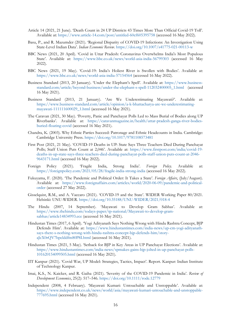- Article 14 (2021, 21 June). 'Death Count in 24 UP Districts 43 Times More Than Official Covid-19 Toll'. Available at:<https://www.article-14.com/post/untitled-60cf605395758> (accessed 16 May 2022).
- Basu, P., and R. Mazumder (2021). 'Regional Disparity of COVID-19 Infections: An Investigation Using State-Level Indian Data'. *Indian Economic Review*. <https://doi.org/10.1007/s41775-021-00113-w>
- BBC News (2021, 20 April). 'Covid in Uttar Pradesh: Coronavirus Overwhelms India's Most Populous State'. Available at: <https://www.bbc.co.uk/news/world-asia-india-56799303> (accessed 16 May 2022).
- BBC News (2021, 19 May). 'Covid-19: India's Holiest River is Swollen with Bodies'. Available at: <https://www.bbc.co.uk/news/world-asia-india-57154564> (accessed 16 May 2022).
- Business Standard (2013, 20 January). 'Under the Elephant's Spell'. Available at: [https://www.business](https://www.business-standard.com/article/beyond-business/under-the-elephant-s-spell-112032400005_1.html)[standard.com/article/beyond-business/under-the-elephant-s-spell-112032400005\\_1.html](https://www.business-standard.com/article/beyond-business/under-the-elephant-s-spell-112032400005_1.html) (accessed 16 May 2021).
- Business Standard (2013, 21 January). 'Are We Underestimating Mayawati?'. Available at: [https://www.business-standard.com/article/opinion/a-k-bhattacharya-are-we-underestimating](https://www.business-standard.com/article/opinion/a-k-bhattacharya-are-we-underestimating-mayawati-111111600029_1.html)[mayawati-111111600029\\_1.html](https://www.business-standard.com/article/opinion/a-k-bhattacharya-are-we-underestimating-mayawati-111111600029_1.html) (accessed 16 May 2021).
- The Caravan (2021, 30 May). 'Poverty, Panic and Panchayat Polls Led to Mass Burial of Bodies along UP Riverbanks'. Available at: [https://caravanmagazine.in/health/uttar-pradesh-ganga-river-bodies](https://caravanmagazine.in/health/uttar-pradesh-ganga-river-bodies-buried-floating-covid)[buried-floating-covid](https://caravanmagazine.in/health/uttar-pradesh-ganga-river-bodies-buried-floating-covid) (accessed 16 May 2021).
- Chandra, K. (2003). Why Ethnic Parties Succeed: Patronage and Ethnic Headcounts in India. Cambridge: Cambridge University Press. <https://doi.org/10.1017/9781108573481>
- First Post (2021, 21 May). 'COVID-19 Deaths in UP: State Says Three Teachers Died During Panchayat Polls; Staff Union Puts Count at 2,046'. Available at: [https://www.firstpost.com/india/covid-19](https://www.firstpost.com/india/covid-19-deaths-in-up-state-says-three-teachers-died-during-panchayat-polls-staff-union-puts-count-at-2046-9643171.html) [deaths-in-up-state-says-three-teachers-died-during-panchayat-polls-staff-union-puts-count-at-2046-](https://www.firstpost.com/india/covid-19-deaths-in-up-state-says-three-teachers-died-during-panchayat-polls-staff-union-puts-count-at-2046-9643171.html) [9643171.html](https://www.firstpost.com/india/covid-19-deaths-in-up-state-says-three-teachers-died-during-panchayat-polls-staff-union-puts-count-at-2046-9643171.html) (accessed 16 May 2022).
- Foreign Policy (2021). 'Fragile India, Strong India'. *Foreign Policy*. Available at: <https://foreignpolicy.com/2021/05/28/fragile-india-strong-india> (accessed 16 May 2022).
- Fukuyama, F. (2020). 'The Pandemic and Political Order: It Takes a State'. *Foreign Affairs*, (July/August). Available at: [https://www.foreignaffairs.com/articles/world/2020-06-09/pandemic-and-political](https://www.foreignaffairs.com/articles/world/2020-06-09/pandemic-and-political-order)[order](https://www.foreignaffairs.com/articles/world/2020-06-09/pandemic-and-political-order) (accessed 27 May 2022).
- Gisselquist, R.M., and A. Vaccaro (2021). 'COVID-19 and the State'. WIDER Working Paper 80/2021. Helsinki: UNU-WIDER. <https://doi.org/10.35188/UNU-WIDER/2021/018-4>
- The Hindu (2007, 14 September). 'Mayawati to Develop Gram Sabhas'. Available at: [https://www.thehindu.com/todays-paper/tp-national/Mayawati-to-develop-gram](https://www.thehindu.com/todays-paper/tp-national/Mayawati-to-develop-gram-sabhas/article14834993.ece)[sabhas/article14834993.ece](https://www.thehindu.com/todays-paper/tp-national/Mayawati-to-develop-gram-sabhas/article14834993.ece) (accessed 16 May 2021).
- Hindustan Times (2017, 6 April). 'Yogi Adityanath Says Nothing Wrong with Hindu Rashtra Concept, BJP Defends Him'. Available at: [https://www.hindustantimes.com/india-news/up-cm-yogi-adityanath](https://www.hindustantimes.com/india-news/up-cm-yogi-adityanath-says-there-s-nothing-wrong-with-hindu-rashtra-concept-bjp-defends-him/story-aJcX0rQV7bpclddfm80P8I.html)[says-there-s-nothing-wrong-with-hindu-rashtra-concept-bjp-defends-him/story](https://www.hindustantimes.com/india-news/up-cm-yogi-adityanath-says-there-s-nothing-wrong-with-hindu-rashtra-concept-bjp-defends-him/story-aJcX0rQV7bpclddfm80P8I.html)[aJcX0rQV7bpclddfm80P8I.html](https://www.hindustantimes.com/india-news/up-cm-yogi-adityanath-says-there-s-nothing-wrong-with-hindu-rashtra-concept-bjp-defends-him/story-aJcX0rQV7bpclddfm80P8I.html) (accessed 16 May 2021).
- Hindustan Times (2021, 5 May). 'Setback for BJP in Key Areas in UP Panchayat Elections'. Available at: [https://www.hindustantimes.com/india-news/spmakes-gains-bjp-jolted-in-up-panchayat-polls-](https://www.hindustantimes.com/india-news/spmakes-gains-bjp-jolted-in-up-panchayat-polls-101620154099505.html)[101620154099505.html](https://www.hindustantimes.com/india-news/spmakes-gains-bjp-jolted-in-up-panchayat-polls-101620154099505.html) (accessed 16 May 2021).
- IIT Kanpur (2021). 'Covid War, UP Model: Strategies, Tactics, Impact'. Report. Kanpur: Indian Institute of Technology Kanpur.
- Imai, K.S., N. Kaicker, and R. Gaiha (2021). 'Severity of the COVID-19 Pandemic in India'. *Review of Development Economics*, 25(2): 517–546.<https://doi.org/10.1111/rode.12779>
- Independent (2008, 4 February). 'Mayawati Kumari: Untouchable and Unstoppable'. Available at: [https://www.independent.co.uk/news/world/asia/mayawati-kumari-untouchable-and-unstoppable-](https://www.independent.co.uk/news/world/asia/mayawati-kumari-untouchable-and-unstoppable-777695.html)[777695.html](https://www.independent.co.uk/news/world/asia/mayawati-kumari-untouchable-and-unstoppable-777695.html) (accessed 16 May 2021).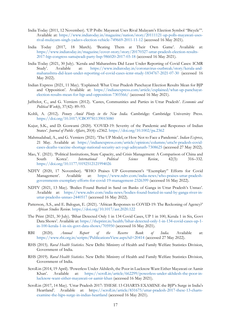- India Today (2011, 12 November). 'UP Polls: Mayawati Uses Rival Mulayam's Election Symbol "Bicycle"'. Available at: [https://www.indiatoday.in/magazine/nation/story/20111121-up-polls-mayawati-uses](https://www.indiatoday.in/magazine/nation/story/20111121-up-polls-mayawati-uses-rival-mulayam-singh-yadavs-election-vehicle-749669-2011-11-12)[rival-mulayam-singh-yadavs-election-vehicle-749669-2011-11-12](https://www.indiatoday.in/magazine/nation/story/20111121-up-polls-mayawati-uses-rival-mulayam-singh-yadavs-election-vehicle-749669-2011-11-12) (accessed 16 May 2021).
- India Today (2017, 18 March). 'Beating Them at Their Own Game'. Available at: [https://www.indiatoday.in/magazine/cover-story/story/20170327-uttar-pradesh-election-results-](https://www.indiatoday.in/magazine/cover-story/story/20170327-uttar-pradesh-election-results-2017-bjp-congress-samajwadi-party-bsp-986020-2017-03-18)[2017-bjp-congress-samajwadi-party-bsp-986020-2017-03-18](https://www.indiatoday.in/magazine/cover-story/story/20170327-uttar-pradesh-election-results-2017-bjp-congress-samajwadi-party-bsp-986020-2017-03-18) (accessed 16 May 2021).
- India Today (2021, 30 July). 'Kerala and Maharashtra Did Least Under Reporting of Covid Cases: ICMR Study'. Available at: [https://www.indiatoday.in/coronavirus-outbreak/story/kerala-and](https://www.indiatoday.in/coronavirus-outbreak/story/kerala-and-maharashtra-did-least-under-reporting-of-covid-cases-icmr-study-1834767-2021-07-30)[maharashtra-did-least-under-reporting-of-covid-cases-icmr-study-1834767-2021-07-30](https://www.indiatoday.in/coronavirus-outbreak/story/kerala-and-maharashtra-did-least-under-reporting-of-covid-cases-icmr-study-1834767-2021-07-30) (accessed 16 May 2022).
- Indian Express (2021, 11 May). 'Explained: What Uttar Pradesh Panchayat Election Results Mean for BJP and Opposition'. Available at: [https://indianexpress.com/article/explained/what-up-panchayat](https://indianexpress.com/article/explained/what-up-panchayat-election-results-mean-for-bjp-and-opposition-7303566/)[election-results-mean-for-bjp-and-opposition-7303566/](https://indianexpress.com/article/explained/what-up-panchayat-election-results-mean-for-bjp-and-opposition-7303566/) (accessed 16 May 2021).
- Jaffrelot, C., and G. Verniers (2012). 'Castes, Communities and Parties in Uttar Pradesh'. *Economic and Political Weekly*, 37(42): 89–93.
- Kohli, A. (2012). *Penury Amid Plenty in the New India.* Cambridge: Cambridge University Press. <https://doi.org/10.1017/CBO9781139015080>
- Kujur, S.K., and D. Goswami (2020). 'COVID-19: Severity of the Pandemic and Responses of Indian States'. *Journal of Public Affairs*, 20(4): e2362.<https://doi.org/10.1002/pa.2362>
- Mahmudabad, A., and G. Verniers (2021). 'The UP Model, or How Not to Face a Pandemic'. *Indian Express*, 21 May. Available at: [https://indianexpress.com/article/opinion/columns/utta5r-pradesh-covid](https://indianexpress.com/article/opinion/columns/utta5r-pradesh-covid-cases-deaths-vaccine-shortage-national-security-act-yogi-adityanath-7308625)[cases-deaths-vaccine-shortage-national-security-act-yogi-adityanath-7308625](https://indianexpress.com/article/opinion/columns/utta5r-pradesh-covid-cases-deaths-vaccine-shortage-national-security-act-yogi-adityanath-7308625) (accessed 27 May 2022).
- Mao, Y. (2021). 'Political Institutions, State Capacity, and Crisis Management: A Comparison of China and South Korea'. *International Political Science Review*, 42(3): 316–332. <https://doi.org/10.1177/0192512121994026>
- NDTV (2020, 17 November). 'WHO Praises UP Government's "Exemplary" Efforts for Covid Management'. Available at: [https://www.ndtv.com/india-news/who-praises-uttar-pradesh](https://www.ndtv.com/india-news/who-praises-uttar-pradesh-governments-exemplary-efforts-for-covid-19-management-2326399)[governments-exemplary-efforts-for-covid-19-management-2326399](https://www.ndtv.com/india-news/who-praises-uttar-pradesh-governments-exemplary-efforts-for-covid-19-management-2326399) (accessed 16 May 2022).
- NDTV (2021, 13 May). 'Bodies Found Buried in Sand on Banks of Ganga in Uttar Pradesh's Unnao'. Available at: [https://www.ndtv.com/india-news/bodies-found-buried-in-sand-by-ganga-river-in](https://www.ndtv.com/india-news/bodies-found-buried-in-sand-by-ganga-river-in-uttar-pradeshs-unnao-2440517)[uttar-pradeshs-unnao-2440517](https://www.ndtv.com/india-news/bodies-found-buried-in-sand-by-ganga-river-in-uttar-pradeshs-unnao-2440517) (accessed 16 May 2022).
- Patterson, A.S., and E. Balogun, E. (2021). 'African Responses to COVID-19: The Reckoning of Agency?' *African Studies Review*.<https://doi.org/10.1017/asr.2020.122>
- The Print (2021, 30 July). 'Bihar Detected Only 1 in 134 Covid Cases, UP 1 in 100, Kerala 1 in Six, Govt Data Shows'. Available at: [https://theprint.in/health/bihar-detected-only-1-in-134-covid-cases-up-1](https://theprint.in/health/bihar-detected-only-1-in-134-covid-cases-up-1-in-100-kerala-1-in-six-govt-data-shows/705950) [in-100-kerala-1-in-six-govt-data-shows/705950](https://theprint.in/health/bihar-detected-only-1-in-134-covid-cases-up-1-in-100-kerala-1-in-six-govt-data-shows/705950) (accessed 16 May 2021).
- RBI (2020). *Annual Report of the Reserve Bank of India.* Available at: <https://www.rbi.org.in/scripts/PublicationsView.aspx?id=20414> (accessed 27 May 2022).
- RHS (2015). *Rural Health Statistics*. New Delhi: Ministry of Health and Family Welfare Statistics Division, Government of India.
- RHS (2019). *Rural Health Statistics*. New Delhi: Ministry of Health and Family Welfare Statistics Division, Government of India.
- Scroll.in (2014, 19 April). 'Powerless Under Akhilesh, the Poor in Lucknow Want Either Mayawati or Aamir Khan'. Available at: [https://scroll.in/article/662299/powerless-under-akhilesh-the-poor-in](https://scroll.in/article/662299/powerless-under-akhilesh-the-poor-in-lucknow-want-either-mayawati-or-aamir-khan)[lucknow-want-either-mayawati-or-aamir-khan](https://scroll.in/article/662299/powerless-under-akhilesh-the-poor-in-lucknow-want-either-mayawati-or-aamir-khan) (accessed 16 May 2021).
- Scroll.in (2017, 14 May). 'Uttar Pradesh 2017: THESE 13 CHARTS EXAMINE the BJP's Surge in India's Heartland'. Available at: [https://scroll.in/article/831675/uttar-pradesh-2017-these-13-charts](https://scroll.in/article/831675/uttar-pradesh-2017-these-13-charts-examine-the-bjps-surge-in-indias-heartland)[examine-the-bjps-surge-in-indias-heartland](https://scroll.in/article/831675/uttar-pradesh-2017-these-13-charts-examine-the-bjps-surge-in-indias-heartland) (accessed 16 May 2021).